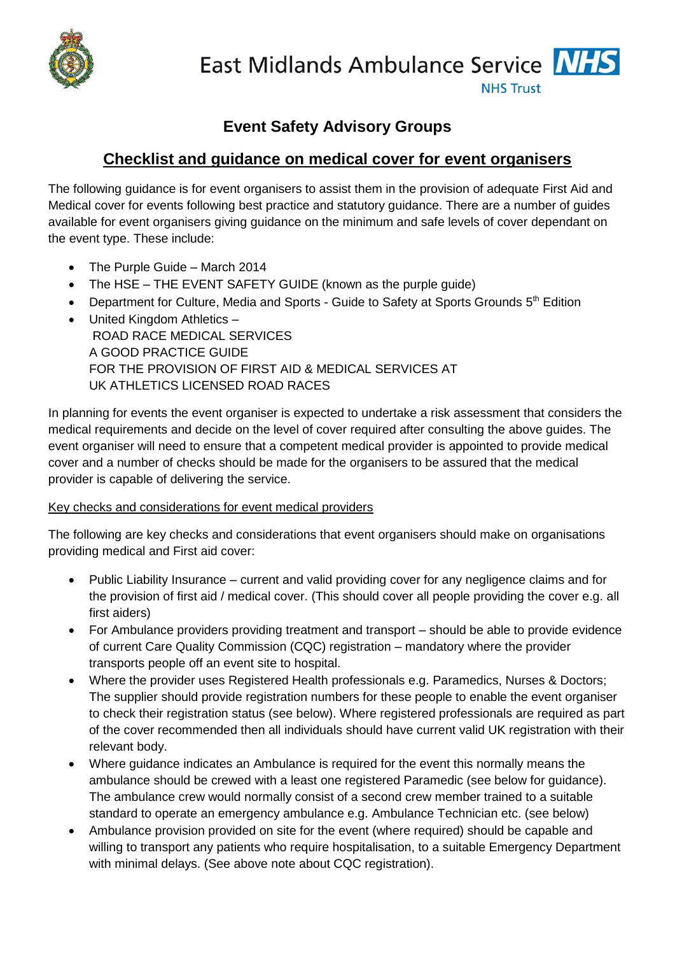

East Midlands Ambulance Service NHS

**NHS Trust** 

# **Event Safety Advisory Groups**

# **Checklist and guidance on medical cover for event organisers**

The following guidance is for event organisers to assist them in the provision of adequate First Aid and Medical cover for events following best practice and statutory guidance. There are a number of guides available for event organisers giving guidance on the minimum and safe levels of cover dependant on the event type. These include:

- The Purple Guide March 2014
- The HSE THE EVENT SAFETY GUIDE (known as the purple guide)
- Department for Culture, Media and Sports Guide to Safety at Sports Grounds 5<sup>th</sup> Edition
- United Kingdom Athletics -ROAD RACE MEDICAL SERVICES A GOOD PRACTICE GUIDE FOR THE PROVISION OF FIRST AID & MEDICAL SERVICES AT UK ATHLETICS LICENSED ROAD RACES

In planning for events the event organiser is expected to undertake a risk assessment that considers the medical requirements and decide on the level of cover required after consulting the above guides. The event organiser will need to ensure that a competent medical provider is appointed to provide medical cover and a number of checks should be made for the organisers to be assured that the medical provider is capable of delivering the service.

### Key checks and considerations for event medical providers

The following are key checks and considerations that event organisers should make on organisations providing medical and First aid cover:

- Public Liability Insurance current and valid providing cover for any negligence claims and for the provision of first aid / medical cover. (This should cover all people providing the cover e.g. all first aiders)
- For Ambulance providers providing treatment and transport should be able to provide evidence of current Care Quality Commission (CQC) registration – mandatory where the provider transports people off an event site to hospital.
- Where the provider uses Registered Health professionals e.g. Paramedics, Nurses & Doctors; The supplier should provide registration numbers for these people to enable the event organiser to check their registration status (see below). Where registered professionals are required as part of the cover recommended then all individuals should have current valid UK registration with their relevant body.
- Where guidance indicates an Ambulance is required for the event this normally means the ambulance should be crewed with a least one registered Paramedic (see below for guidance). The ambulance crew would normally consist of a second crew member trained to a suitable standard to operate an emergency ambulance e.g. Ambulance Technician etc. (see below)
- Ambulance provision provided on site for the event (where required) should be capable and willing to transport any patients who require hospitalisation, to a suitable Emergency Department with minimal delays. (See above note about CQC registration).